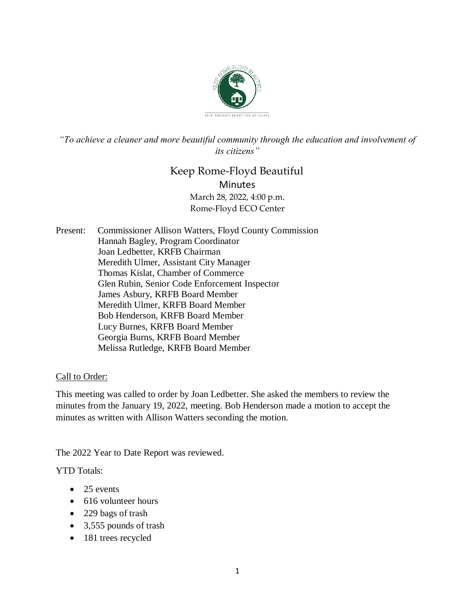

*"To achieve a cleaner and more beautiful community through the education and involvement of its citizens"*

# Keep Rome-Floyd Beautiful **Minutes** March 28, 2022, 4:00 p.m. Rome-Floyd ECO Center

Present: Commissioner Allison Watters, Floyd County Commission Hannah Bagley, Program Coordinator Joan Ledbetter, KRFB Chairman Meredith Ulmer, Assistant City Manager Thomas Kislat, Chamber of Commerce Glen Rubin, Senior Code Enforcement Inspector James Asbury, KRFB Board Member Meredith Ulmer, KRFB Board Member Bob Henderson, KRFB Board Member Lucy Burnes, KRFB Board Member Georgia Burns, KRFB Board Member Melissa Rutledge, KRFB Board Member

# Call to Order:

This meeting was called to order by Joan Ledbetter. She asked the members to review the minutes from the January 19, 2022, meeting. Bob Henderson made a motion to accept the minutes as written with Allison Watters seconding the motion.

The 2022 Year to Date Report was reviewed.

YTD Totals:

- $\bullet$  25 events
- 616 volunteer hours
- 229 bags of trash
- 3,555 pounds of trash
- 181 trees recycled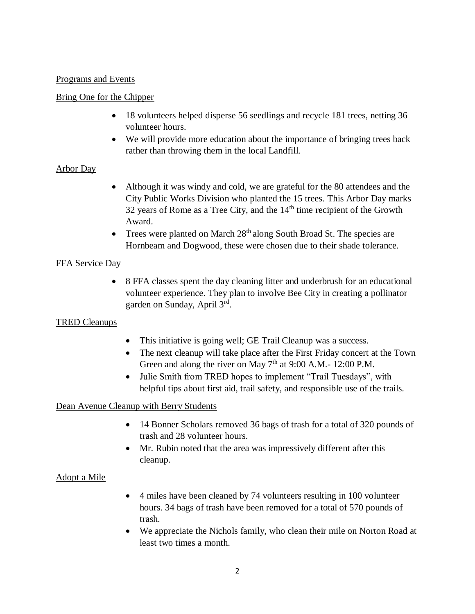### Programs and Events

### Bring One for the Chipper

- 18 volunteers helped disperse 56 seedlings and recycle 181 trees, netting 36 volunteer hours.
- We will provide more education about the importance of bringing trees back rather than throwing them in the local Landfill.

# Arbor Day

- Although it was windy and cold, we are grateful for the 80 attendees and the City Public Works Division who planted the 15 trees. This Arbor Day marks 32 years of Rome as a Tree City, and the  $14<sup>th</sup>$  time recipient of the Growth Award.
- Trees were planted on March  $28<sup>th</sup>$  along South Broad St. The species are Hornbeam and Dogwood, these were chosen due to their shade tolerance.

# FFA Service Day

• 8 FFA classes spent the day cleaning litter and underbrush for an educational volunteer experience. They plan to involve Bee City in creating a pollinator garden on Sunday, April 3rd .

# TRED Cleanups

- This initiative is going well; GE Trail Cleanup was a success.
- The next cleanup will take place after the First Friday concert at the Town Green and along the river on May  $7<sup>th</sup>$  at 9:00 A.M.- 12:00 P.M.
- Julie Smith from TRED hopes to implement "Trail Tuesdays", with helpful tips about first aid, trail safety, and responsible use of the trails.

# Dean Avenue Cleanup with Berry Students

- 14 Bonner Scholars removed 36 bags of trash for a total of 320 pounds of trash and 28 volunteer hours.
- Mr. Rubin noted that the area was impressively different after this cleanup.

# Adopt a Mile

- 4 miles have been cleaned by 74 volunteers resulting in 100 volunteer hours. 34 bags of trash have been removed for a total of 570 pounds of trash.
- We appreciate the Nichols family, who clean their mile on Norton Road at least two times a month.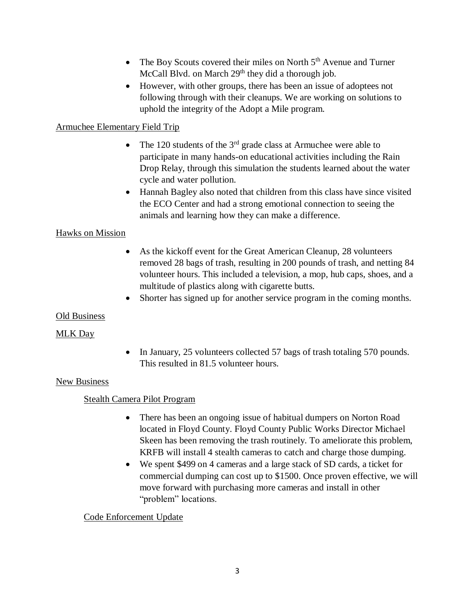- The Boy Scouts covered their miles on North  $5<sup>th</sup>$  Avenue and Turner McCall Blvd. on March 29<sup>th</sup> they did a thorough job.
- However, with other groups, there has been an issue of adoptees not following through with their cleanups. We are working on solutions to uphold the integrity of the Adopt a Mile program.

# Armuchee Elementary Field Trip

- The 120 students of the  $3<sup>rd</sup>$  grade class at Armuchee were able to participate in many hands-on educational activities including the Rain Drop Relay, through this simulation the students learned about the water cycle and water pollution.
- Hannah Bagley also noted that children from this class have since visited the ECO Center and had a strong emotional connection to seeing the animals and learning how they can make a difference.

# Hawks on Mission

- As the kickoff event for the Great American Cleanup, 28 volunteers removed 28 bags of trash, resulting in 200 pounds of trash, and netting 84 volunteer hours. This included a television, a mop, hub caps, shoes, and a multitude of plastics along with cigarette butts.
- Shorter has signed up for another service program in the coming months.

### Old Business

# MLK Day

• In January, 25 volunteers collected 57 bags of trash totaling 570 pounds. This resulted in 81.5 volunteer hours.

### New Business

# Stealth Camera Pilot Program

- There has been an ongoing issue of habitual dumpers on Norton Road located in Floyd County. Floyd County Public Works Director Michael Skeen has been removing the trash routinely. To ameliorate this problem, KRFB will install 4 stealth cameras to catch and charge those dumping.
- We spent \$499 on 4 cameras and a large stack of SD cards, a ticket for commercial dumping can cost up to \$1500. Once proven effective, we will move forward with purchasing more cameras and install in other "problem" locations.

# Code Enforcement Update